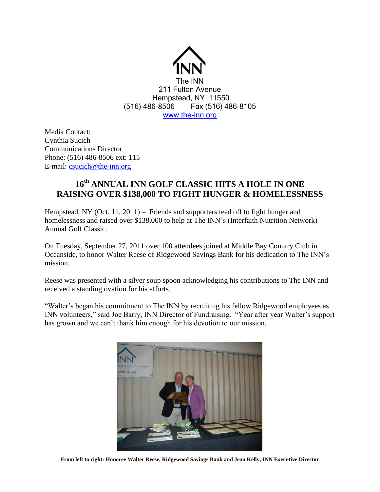

Media Contact: Cynthia Sucich Communications Director Phone: (516) 486-8506 ext: 115 E-mail: [csucich@the-inn.org](mailto:csucich@the-inn.org)

## **16 th ANNUAL INN GOLF CLASSIC HITS A HOLE IN ONE RAISING OVER \$138,000 TO FIGHT HUNGER & HOMELESSNESS**

Hempstead, NY (Oct. 11, 2011) – Friends and supporters teed off to fight hunger and homelessness and raised over \$138,000 to help at The INN's (Interfaith Nutrition Network) Annual Golf Classic.

On Tuesday, September 27, 2011 over 100 attendees joined at Middle Bay Country Club in Oceanside, to honor Walter Reese of Ridgewood Savings Bank for his dedication to The INN's mission.

Reese was presented with a silver soup spoon acknowledging his contributions to The INN and received a standing ovation for his efforts.

"Walter's began his commitment to The INN by recruiting his fellow Ridgewood employees as INN volunteers," said Joe Barry, INN Director of Fundraising. "Year after year Walter's support has grown and we can't thank him enough for his devotion to our mission.



**From left to right: Honoree Walter Reese, Ridgewood Savings Bank and Jean Kelly, INN Executive Director**